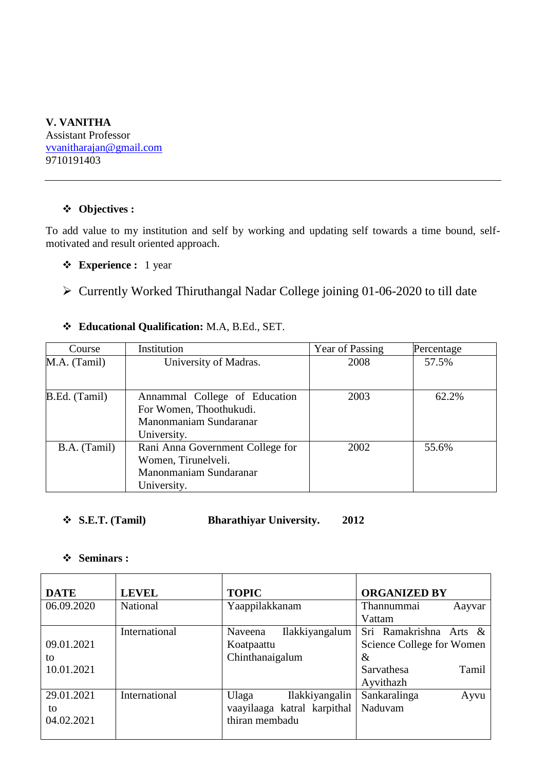### **V. VANITHA** Assistant Professor [vvanitharajan@gmail.com](mailto:vvanitharajan@gmail.com) 9710191403

### **Objectives :**

To add value to my institution and self by working and updating self towards a time bound, selfmotivated and result oriented approach.

- **Experience :** 1 year
- Currently Worked Thiruthangal Nadar College joining 01-06-2020 to till date

# **Educational Qualification:** M.A, B.Ed., SET.

| Course        | Institution                                                                                       | Year of Passing | Percentage |
|---------------|---------------------------------------------------------------------------------------------------|-----------------|------------|
| M.A. (Tamil)  | University of Madras.                                                                             | 2008            | 57.5%      |
| B.Ed. (Tamil) | Annammal College of Education<br>For Women, Thoothukudi.<br>Manonmaniam Sundaranar<br>University. | 2003            | 62.2%      |
| B.A. (Tamil)  | Rani Anna Government College for<br>Women, Tirunelveli.<br>Manonmaniam Sundaranar<br>University.  | 2002            | 55.6%      |

### **S.E.T. (Tamil) Bharathiyar University. 2012**

#### **Seminars :**

| <b>DATE</b> | <b>LEVEL</b>  | <b>TOPIC</b>                | <b>ORGANIZED BY</b>       |
|-------------|---------------|-----------------------------|---------------------------|
| 06.09.2020  | National      | Yaappilakkanam              | Thannummai<br>Aayvar      |
|             |               |                             | Vattam                    |
|             | International | Ilakkiyangalum<br>Naveena   | Sri Ramakrishna Arts &    |
| 09.01.2021  |               | Koatpaattu                  | Science College for Women |
| to          |               | Chinthanaigalum             | $\&$                      |
| 10.01.2021  |               |                             | Sarvathesa<br>Tamil       |
|             |               |                             | Ayvithazh                 |
| 29.01.2021  | International | Ulaga<br>Ilakkiyangalin     | Sankaralinga<br>Ayvu      |
| to          |               | vaayilaaga katral karpithal | Naduvam                   |
| 04.02.2021  |               | thiran membadu              |                           |
|             |               |                             |                           |